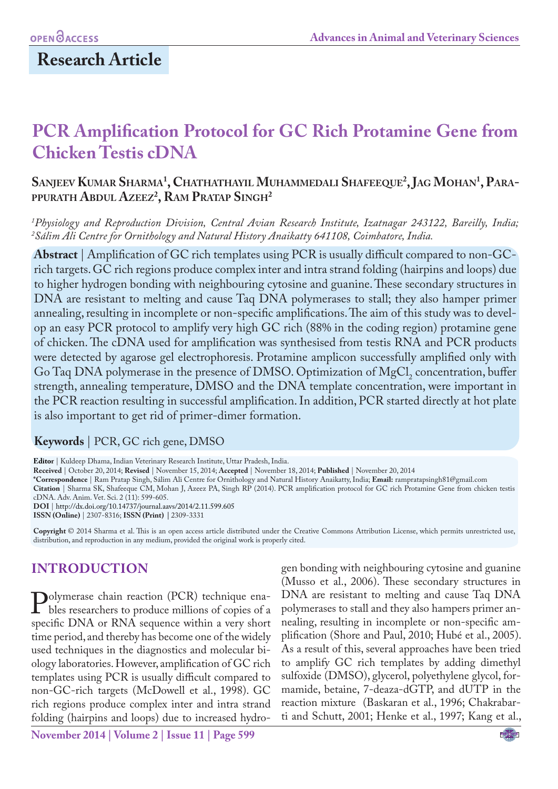# **Research Article**

# **PCR Amplification Protocol for GC Rich Protamine Gene from Chicken Testis cDNA**

# **Sanjeev Kumar Sharma1 , Chathathayil Muhammedali Shafeeque2 , Jag Mohan1 , Parappurath Abdul Azeez2 , Ram Pratap Singh2**

*1 Physiology and Reproduction Division, Central Avian Research Institute, Izatnagar 243122, Bareilly, India; 2 Sálim Ali Centre for Ornithology and Natural History Anaikatty 641108, Coimbatore, India.* 

**Abstract** | Amplification of GC rich templates using PCR is usually difficult compared to non-GCrich targets. GC rich regions produce complex inter and intra strand folding (hairpins and loops) due to higher hydrogen bonding with neighbouring cytosine and guanine. These secondary structures in DNA are resistant to melting and cause Taq DNA polymerases to stall; they also hamper primer annealing, resulting in incomplete or non-specific amplifications. The aim of this study was to develop an easy PCR protocol to amplify very high GC rich (88% in the coding region) protamine gene of chicken. The cDNA used for amplification was synthesised from testis RNA and PCR products were detected by agarose gel electrophoresis. Protamine amplicon successfully amplified only with Go Taq DNA polymerase in the presence of DMSO. Optimization of  $MgCl_2$  concentration, buffer strength, annealing temperature, DMSO and the DNA template concentration, were important in the PCR reaction resulting in successful amplification. In addition, PCR started directly at hot plate is also important to get rid of primer-dimer formation.

#### **Keywords** | PCR, GC rich gene, DMSO

**Editor** | Kuldeep Dhama, Indian Veterinary Research Institute, Uttar Pradesh, India.

**Received** | October 20, 2014; **Revised** | November 15, 2014; **Accepted** | November 18, 2014; **Published** | November 20, 2014

**\*Correspondence** | Ram Pratap Singh, Sálim Ali Centre for Ornithology and Natural History Anaikatty, India; **Email:** rampratapsingh81@gmail.com

**Citation** | Sharma SK, Shafeeque CM, Mohan J, Azeez PA, Singh RP (2014). PCR amplification protocol for GC rich Protamine Gene from chicken testis cDNA. Adv. Anim. Vet. Sci. 2 (11): 599-605.

**DOI** | http://dx.doi.org/10.14737/journal.aavs/2014/2.11.599.605

**ISSN (Online)** | 2307-8316; **ISSN (Print) |** 2309-3331

**Copyright** © 2014 Sharma et al. This is an open access article distributed under the Creative Commons Attribution License, which permits unrestricted use, distribution, and reproduction in any medium, provided the original work is properly cited.

# **INTRODUCTION**

**Polymerase chain reaction (PCR) technique ena-**<br>bles researchers to produce millions of copies of a<br>specific DNA or RNA sequence within a very short bles researchers to produce millions of copies of a specific DNA or RNA sequence within a very short time period, and thereby has become one of the widely used techniques in the diagnostics and molecular biology laboratories. However, amplification of GC rich templates using PCR is usually difficult compared to non-GC-rich targets (McDowell et al., 1998). GC rich regions produce complex inter and intra strand folding (hairpins and loops) due to increased hydrogen bonding with neighbouring cytosine and guanine (Musso et al., 2006). These secondary structures in DNA are resistant to melting and cause Taq DNA polymerases to stall and they also hampers primer annealing, resulting in incomplete or non-specific amplification (Shore and Paul, 2010; Hubé et al., 2005). As a result of this, several approaches have been tried to amplify GC rich templates by adding dimethyl sulfoxide (DMSO), glycerol, polyethylene glycol, formamide, betaine, 7-deaza-dGTP, and dUTP in the reaction mixture (Baskaran et al., 1996; Chakrabarti and Schutt, 2001; Henke et al., 1997; Kang et al.,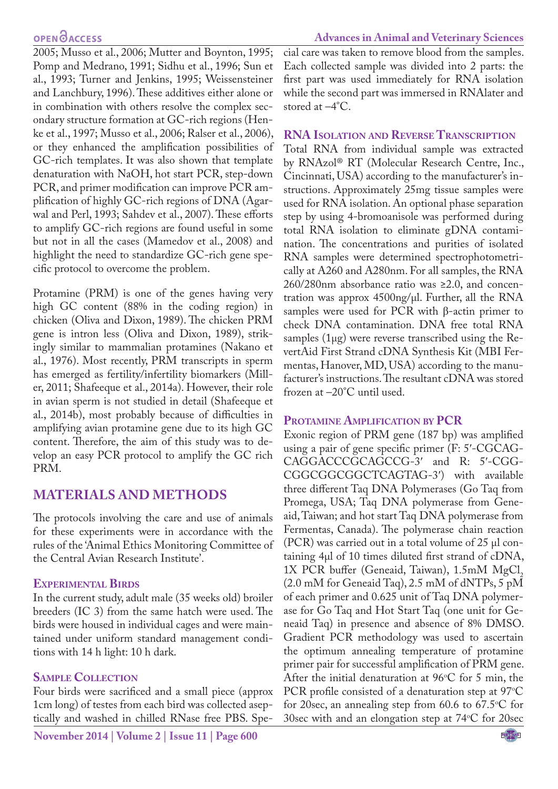2005; Musso et al., 2006; Mutter and Boynton, 1995; Pomp and Medrano, 1991; Sidhu et al., 1996; Sun et al., 1993; Turner and Jenkins, 1995; Weissensteiner and Lanchbury, 1996). These additives either alone or in combination with others resolve the complex secondary structure formation at GC-rich regions (Henke et al., 1997; Musso et al., 2006; Ralser et al., 2006), or they enhanced the amplification possibilities of GC-rich templates. It was also shown that template denaturation with NaOH, hot start PCR, step-down PCR, and primer modification can improve PCR amplification of highly GC-rich regions of DNA (Agarwal and Perl, 1993; Sahdev et al., 2007). These efforts to amplify GC-rich regions are found useful in some but not in all the cases (Mamedov et al., 2008) and highlight the need to standardize GC-rich gene specific protocol to overcome the problem.

Protamine (PRM) is one of the genes having very high GC content (88% in the coding region) in chicken (Oliva and Dixon, 1989). The chicken PRM gene is intron less (Oliva and Dixon, 1989), strikingly similar to mammalian protamines (Nakano et al., 1976). Most recently, PRM transcripts in sperm has emerged as fertility/infertility biomarkers (Miller, 2011; Shafeeque et al., 2014a). However, their role in avian sperm is not studied in detail (Shafeeque et al., 2014b), most probably because of difficulties in amplifying avian protamine gene due to its high GC content. Therefore, the aim of this study was to develop an easy PCR protocol to amplify the GC rich PRM.

# **MATERIALS AND METHODS**

The protocols involving the care and use of animals for these experiments were in accordance with the rules of the 'Animal Ethics Monitoring Committee of the Central Avian Research Institute'.

#### **Experimental Birds**

In the current study, adult male (35 weeks old) broiler breeders (IC 3) from the same hatch were used. The birds were housed in individual cages and were maintained under uniform standard management conditions with 14 h light: 10 h dark.

### **Sample Collection**

Four birds were sacrificed and a small piece (approx 1cm long) of testes from each bird was collected aseptically and washed in chilled RNase free PBS. Special care was taken to remove blood from the samples. Each collected sample was divided into 2 parts: the first part was used immediately for RNA isolation while the second part was immersed in RNAlater and stored at –4°C.

#### **RNA Isolation and Reverse Transcription**

Total RNA from individual sample was extracted by RNAzol® RT (Molecular Research Centre, Inc., Cincinnati, USA) according to the manufacturer's instructions. Approximately 25mg tissue samples were used for RNA isolation. An optional phase separation step by using 4-bromoanisole was performed during total RNA isolation to eliminate gDNA contamination. The concentrations and purities of isolated RNA samples were determined spectrophotometrically at A260 and A280nm. For all samples, the RNA 260/280nm absorbance ratio was ≥2.0, and concentration was approx  $4500$ ng/ $\mu$ l. Further, all the RNA samples were used for PCR with β-actin primer to check DNA contamination. DNA free total RNA samples (1µg) were reverse transcribed using the RevertAid First Strand cDNA Synthesis Kit (MBI Fermentas, Hanover, MD, USA) according to the manufacturer's instructions. The resultant cDNA was stored frozen at –20°C until used.

### **Protamine Amplification by PCR**

Exonic region of PRM gene (187 bp) was amplified using a pair of gene specific primer (F: 5′-CGCAG-CAGGACCCGCAGCCG-3′ and R: 5′-CGG-CGGCGGCGGCTCAGTAG-3′) with available three different Taq DNA Polymerases (Go Taq from Promega, USA; Taq DNA polymerase from Geneaid, Taiwan; and hot start Taq DNA polymerase from Fermentas, Canada). The polymerase chain reaction (PCR) was carried out in a total volume of  $25 \mu l$  containing 4µl of 10 times diluted first strand of cDNA, 1X PCR buffer (Geneaid, Taiwan),  $1.5 \text{mM}$  MgCl<sub>2</sub> (2.0 mM for Geneaid Taq), 2.5 mM of dNTPs, 5 pM of each primer and 0.625 unit of Taq DNA polymerase for Go Taq and Hot Start Taq (one unit for Geneaid Taq) in presence and absence of 8% DMSO. Gradient PCR methodology was used to ascertain the optimum annealing temperature of protamine primer pair for successful amplification of PRM gene. After the initial denaturation at  $96^{\circ}$ C for 5 min, the PCR profile consisted of a denaturation step at  $97^{\circ}$ C for 20sec, an annealing step from 60.6 to  $67.5^{\circ}$ C for 30sec with and an elongation step at  $74^{\circ}$ C for 20sec

NE<sup>X</sup>US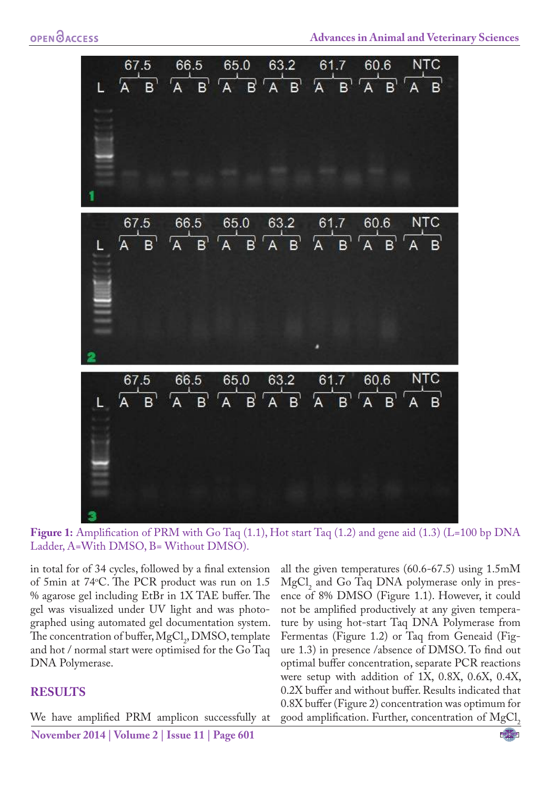

**Figure 1:** Amplification of PRM with Go Taq (1.1), Hot start Taq (1.2) and gene aid (1.3) (L=100 bp DNA Ladder, A=With DMSO, B= Without DMSO).

in total for of 34 cycles, followed by a final extension of 5min at 74o C. The PCR product was run on 1.5 % agarose gel including EtBr in 1X TAE buffer. The gel was visualized under UV light and was photographed using automated gel documentation system. The concentration of buffer,  $MgCl<sub>2</sub>$ , DMSO, template and hot / normal start were optimised for the Go Taq DNA Polymerase.

#### **RESULTS**

We have amplified PRM amplicon successfully at

all the given temperatures (60.6-67.5) using 1.5mM  $MgCl<sub>2</sub>$  and Go Taq DNA polymerase only in presence of 8% DMSO (Figure 1.1). However, it could not be amplified productively at any given temperature by using hot-start Taq DNA Polymerase from Fermentas (Figure 1.2) or Taq from Geneaid (Figure 1.3) in presence /absence of DMSO. To find out optimal buffer concentration, separate PCR reactions were setup with addition of 1X, 0.8X, 0.6X, 0.4X, 0.2X buffer and without buffer. Results indicated that 0.8X buffer (Figure 2) concentration was optimum for good amplification. Further, concentration of  $MgCl$ ,

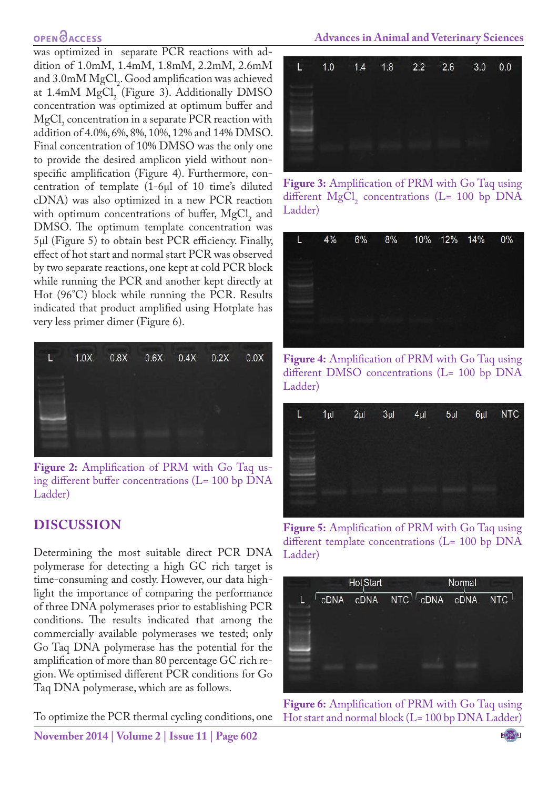was optimized in separate PCR reactions with addition of 1.0mM, 1.4mM, 1.8mM, 2.2mM, 2.6mM and 3.0mM  $MgCl<sub>2</sub>$ . Good amplification was achieved at 1.4mM  $MgCl<sub>2</sub>$  (Figure 3). Additionally DMSO concentration was optimized at optimum buffer and  $MgCl<sub>2</sub>$  concentration in a separate PCR reaction with addition of 4.0%, 6%, 8%, 10%, 12% and 14% DMSO. Final concentration of 10% DMSO was the only one to provide the desired amplicon yield without nonspecific amplification (Figure 4). Furthermore, concentration of template (1-6µl of 10 time's diluted cDNA) was also optimized in a new PCR reaction with optimum concentrations of buffer,  $MgCl<sub>2</sub>$  and DMSO. The optimum template concentration was 5µl (Figure 5) to obtain best PCR efficiency. Finally, effect of hot start and normal start PCR was observed by two separate reactions, one kept at cold PCR block while running the PCR and another kept directly at Hot (96°C) block while running the PCR. Results indicated that product amplified using Hotplate has very less primer dimer (Figure 6).



**Figure 2:** Amplification of PRM with Go Taq using different buffer concentrations (L= 100 bp DNA Ladder)

# **DISCUSSION**

Determining the most suitable direct PCR DNA polymerase for detecting a high GC rich target is time-consuming and costly. However, our data highlight the importance of comparing the performance of three DNA polymerases prior to establishing PCR conditions. The results indicated that among the commercially available polymerases we tested; only Go Taq DNA polymerase has the potential for the amplification of more than 80 percentage GC rich region. We optimised different PCR conditions for Go Taq DNA polymerase, which are as follows.

To optimize the PCR thermal cycling conditions, one

**November 2014 | Volume 2 | Issue 11 | Page 602**



**Figure 3:** Amplification of PRM with Go Taq using different  $MgCl<sub>2</sub>$  concentrations (L= 100 bp DNA Ladder)

| L | 4% | 6% | 8% 10% 12% 14% |  | $0\%$ |
|---|----|----|----------------|--|-------|
|   |    |    |                |  |       |
|   |    |    |                |  |       |
|   |    |    |                |  |       |
|   |    |    |                |  |       |
|   |    |    |                |  |       |

**Figure 4:** Amplification of PRM with Go Taq using different DMSO concentrations (L= 100 bp DNA Ladder)



**Figure 5:** Amplification of PRM with Go Taq using different template concentrations (L= 100 bp DNA Ladder)



**Figure 6:** Amplification of PRM with Go Taq using Hot start and normal block (L= 100 bp DNA Ladder)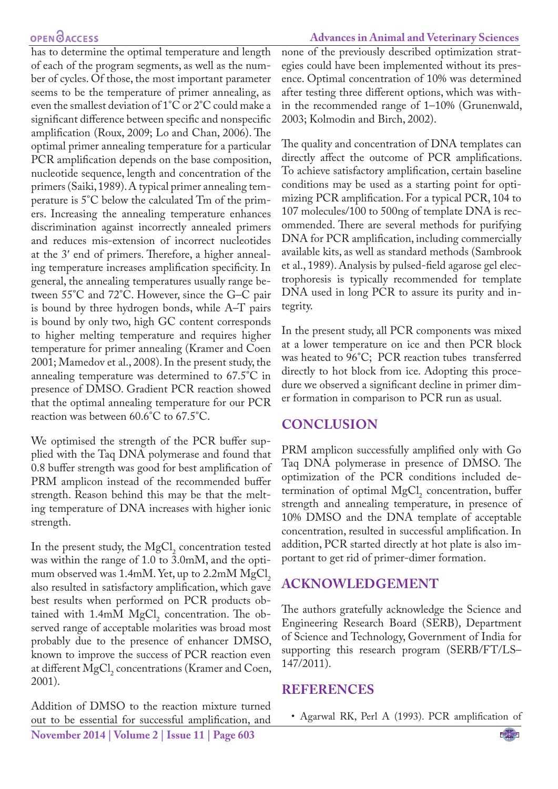has to determine the optimal temperature and length of each of the program segments, as well as the number of cycles. Of those, the most important parameter seems to be the temperature of primer annealing, as even the smallest deviation of 1°C or 2°C could make a significant difference between specific and nonspecific amplification (Roux, 2009; Lo and Chan, 2006). The optimal primer annealing temperature for a particular PCR amplification depends on the base composition, nucleotide sequence, length and concentration of the primers (Saiki, 1989). A typical primer annealing temperature is 5°C below the calculated Tm of the primers. Increasing the annealing temperature enhances discrimination against incorrectly annealed primers and reduces mis-extension of incorrect nucleotides at the 3′ end of primers. Therefore, a higher annealing temperature increases amplification specificity. In general, the annealing temperatures usually range between 55°C and 72°C. However, since the G–C pair is bound by three hydrogen bonds, while A–T pairs is bound by only two, high GC content corresponds to higher melting temperature and requires higher temperature for primer annealing (Kramer and Coen 2001; Mamedov et al., 2008). In the present study, the annealing temperature was determined to 67.5°C in presence of DMSO. Gradient PCR reaction showed that the optimal annealing temperature for our PCR reaction was between 60.6°C to 67.5°C.

We optimised the strength of the PCR buffer supplied with the Taq DNA polymerase and found that 0.8 buffer strength was good for best amplification of PRM amplicon instead of the recommended buffer strength. Reason behind this may be that the melting temperature of DNA increases with higher ionic strength.

In the present study, the  $MgCl<sub>2</sub>$  concentration tested was within the range of 1.0 to 3.0mM, and the optimum observed was  $1.4 \text{mM}$ . Yet, up to  $2.2 \text{mM}$  MgCl<sub>2</sub> also resulted in satisfactory amplification, which gave best results when performed on PCR products obtained with  $1.4 \text{mM}$  MgCl<sub>2</sub> concentration. The observed range of acceptable molarities was broad most probably due to the presence of enhancer DMSO, known to improve the success of PCR reaction even at different  $MgCl<sub>2</sub>$  concentrations (Kramer and Coen, 2001).

**November 2014 | Volume 2 | Issue 11 | Page 603** Addition of DMSO to the reaction mixture turned out to be essential for successful amplification, and

none of the previously described optimization strategies could have been implemented without its presence. Optimal concentration of 10% was determined after testing three different options, which was within the recommended range of 1–10% (Grunenwald, 2003; Kolmodin and Birch, 2002).

The quality and concentration of DNA templates can directly affect the outcome of PCR amplifications. To achieve satisfactory amplification, certain baseline conditions may be used as a starting point for optimizing PCR amplification. For a typical PCR, 104 to 107 molecules/100 to 500ng of template DNA is recommended. There are several methods for purifying DNA for PCR amplification, including commercially available kits, as well as standard methods (Sambrook et al., 1989). Analysis by pulsed-field agarose gel electrophoresis is typically recommended for template DNA used in long PCR to assure its purity and integrity.

In the present study, all PCR components was mixed at a lower temperature on ice and then PCR block was heated to 96°C; PCR reaction tubes transferred directly to hot block from ice. Adopting this procedure we observed a significant decline in primer dimer formation in comparison to PCR run as usual.

#### **CONCLUSION**

PRM amplicon successfully amplified only with Go Taq DNA polymerase in presence of DMSO. The optimization of the PCR conditions included determination of optimal  $MgCl<sub>2</sub>$  concentration, buffer strength and annealing temperature, in presence of 10% DMSO and the DNA template of acceptable concentration, resulted in successful amplification. In addition, PCR started directly at hot plate is also important to get rid of primer-dimer formation.

### **ACKNOWLEDGEMENT**

The authors gratefully acknowledge the Science and Engineering Research Board (SERB), Department of Science and Technology, Government of India for supporting this research program (SERB/FT/LS– 147/2011).

#### **REFERENCES**

• Agarwal RK, Perl A (1993). PCR amplification of

NE**XUS** 

#### **Advances in Animal and Veterinary Sciences**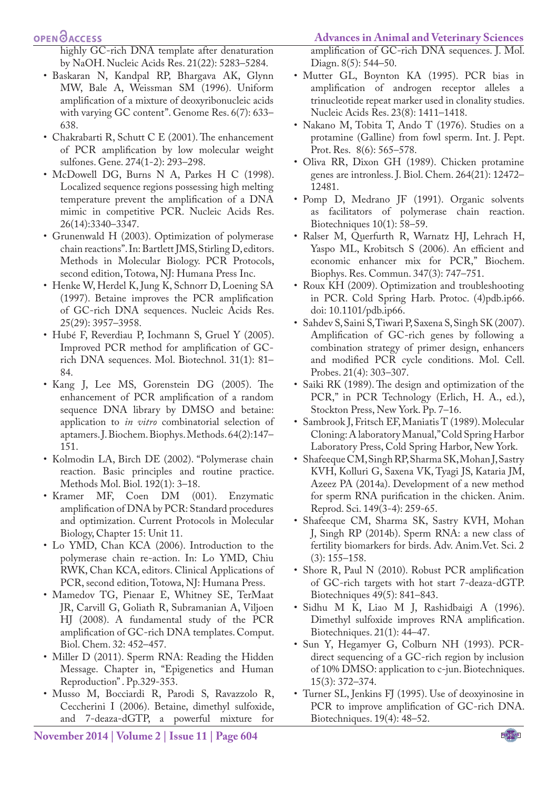highly GC-rich DNA template after denaturation by NaOH. Nucleic Acids Res. 21(22): 5283–5284.

- Baskaran N, Kandpal RP, Bhargava AK, Glynn MW, Bale A, Weissman SM (1996). Uniform amplification of a mixture of deoxyribonucleic acids with varying GC content". Genome Res. 6(7): 633– 638.
- Chakrabarti R, Schutt C E (2001). The enhancement of PCR amplification by low molecular weight sulfones. Gene. 274(1-2): 293–298.
- McDowell DG, Burns N A, Parkes H C (1998). Localized sequence regions possessing high melting temperature prevent the amplification of a DNA mimic in competitive PCR. Nucleic Acids Res. 26(14):3340–3347.
- Grunenwald H (2003). Optimization of polymerase chain reactions". In: Bartlett JMS, Stirling D, editors. Methods in Molecular Biology. PCR Protocols, second edition, Totowa, NJ: Humana Press Inc.
- Henke W, Herdel K, Jung K, Schnorr D, Loening SA (1997). Betaine improves the PCR amplification of GC-rich DNA sequences. Nucleic Acids Res. 25(29): 3957–3958.
- Hubé F, Reverdiau P, Iochmann S, Gruel Y (2005). Improved PCR method for amplification of GCrich DNA sequences. Mol. Biotechnol. 31(1): 81– 84.
- Kang J, Lee MS, Gorenstein DG (2005). The enhancement of PCR amplification of a random sequence DNA library by DMSO and betaine: application to *in vitro* combinatorial selection of aptamers. J. Biochem. Biophys. Methods. 64(2):147– 151.
- Kolmodin LA, Birch DE (2002). "Polymerase chain reaction. Basic principles and routine practice. Methods Mol. Biol. 192(1): 3–18.
- Kramer MF, Coen DM (001). Enzymatic amplification of DNA by PCR: Standard procedures and optimization. Current Protocols in Molecular Biology, Chapter 15: Unit 11.
- Lo YMD, Chan KCA (2006). Introduction to the polymerase chain re-action. In: Lo YMD, Chiu RWK, Chan KCA, editors. Clinical Applications of PCR, second edition, Totowa, NJ: Humana Press.
- Mamedov TG, Pienaar E, Whitney SE, TerMaat JR, Carvill G, Goliath R, Subramanian A, Viljoen HJ (2008). A fundamental study of the PCR amplification of GC-rich DNA templates. Comput. Biol. Chem. 32: 452–457.
- Miller D (2011). Sperm RNA: Reading the Hidden Message. Chapter in, "Epigenetics and Human Reproduction" . Pp.329-353.
- Musso M, Bocciardi R, Parodi S, Ravazzolo R, Ceccherini I (2006). Betaine, dimethyl sulfoxide, and 7-deaza-dGTP, a powerful mixture for

#### **Advances in Animal and Veterinary Sciences**

amplification of GC-rich DNA sequences. J. Mol. Diagn. 8(5): 544–50.

- Mutter GL, Boynton KA (1995). PCR bias in amplification of androgen receptor alleles a trinucleotide repeat marker used in clonality studies. Nucleic Acids Res. 23(8): 1411–1418.
- Nakano M, Tobita T, Ando T (1976). Studies on a protamine (Galline) from fowl sperm. Int. J. Pept. Prot. Res. 8(6): 565–578.
- Oliva RR, Dixon GH (1989). Chicken protamine genes are intronless. J. Biol. Chem. 264(21): 12472– 12481.
- Pomp D, Medrano JF (1991). Organic solvents as facilitators of polymerase chain reaction. Biotechniques 10(1): 58–59.
- Ralser M, Querfurth R, Warnatz HJ, Lehrach H, Yaspo ML, Krobitsch S (2006). An efficient and economic enhancer mix for PCR," Biochem. Biophys. Res. Commun. 347(3): 747–751.
- Roux KH (2009). Optimization and troubleshooting in PCR. Cold Spring Harb. Protoc. (4)pdb.ip66. doi: 10.1101/pdb.ip66.
- Sahdev S, Saini S, Tiwari P, Saxena S, Singh SK (2007). Amplification of GC-rich genes by following a combination strategy of primer design, enhancers and modified PCR cycle conditions. Mol. Cell. Probes. 21(4): 303–307.
- Saiki RK (1989). The design and optimization of the PCR," in PCR Technology (Erlich, H. A., ed.), Stockton Press, New York. Pp. 7–16.
- Sambrook J, Fritsch EF, Maniatis T (1989). Molecular Cloning: A laboratory Manual," Cold Spring Harbor Laboratory Press, Cold Spring Harbor, New York.
- Shafeeque CM, Singh RP, Sharma SK, Mohan J, Sastry KVH, Kolluri G, Saxena VK, Tyagi JS, Kataria JM, Azeez PA (2014a). Development of a new method for sperm RNA purification in the chicken. Anim. Reprod. Sci. 149(3-4): 259-65.
- Shafeeque CM, Sharma SK, Sastry KVH, Mohan J, Singh RP (2014b). Sperm RNA: a new class of fertility biomarkers for birds. Adv. Anim.Vet. Sci. 2 (3): 155–158.
- Shore R, Paul N (2010). Robust PCR amplification of GC-rich targets with hot start 7-deaza-dGTP. Biotechniques 49(5): 841–843.
- Sidhu M K, Liao M J, Rashidbaigi A (1996). Dimethyl sulfoxide improves RNA amplification. Biotechniques. 21(1): 44–47.
- Sun Y, Hegamyer G, Colburn NH (1993). PCRdirect sequencing of a GC-rich region by inclusion of 10% DMSO: application to c-jun. Biotechniques. 15(3): 372–374.
- Turner SL, Jenkins FJ (1995). Use of deoxyinosine in PCR to improve amplification of GC-rich DNA. Biotechniques. 19(4): 48–52.

NE<sup>X</sup>US